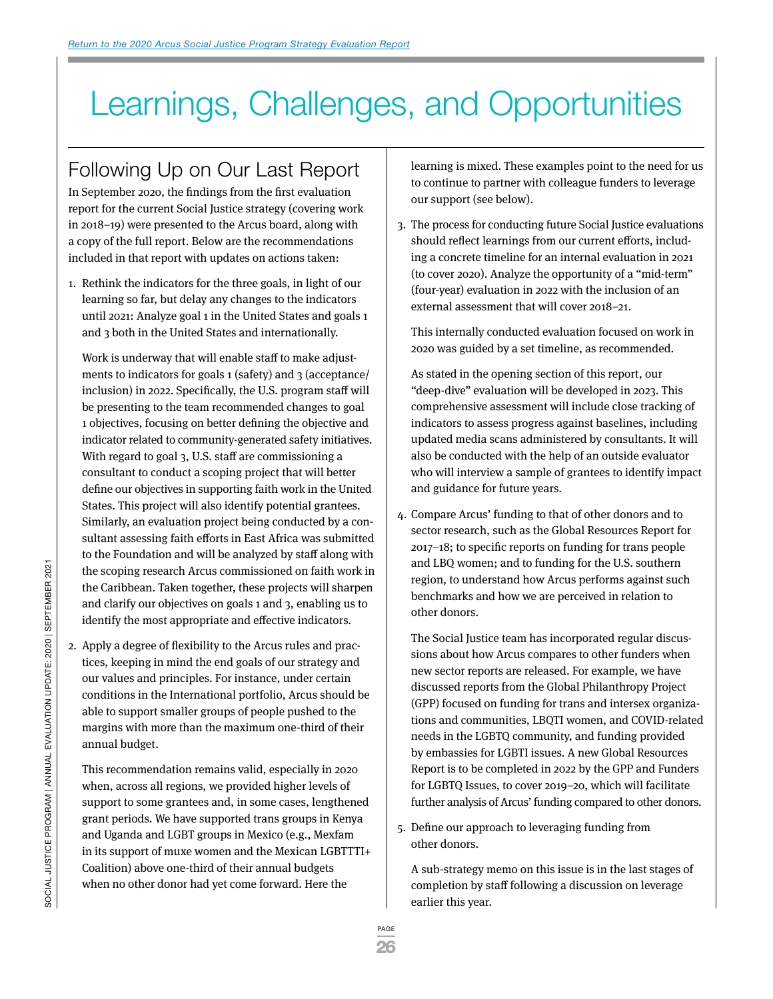# Learnings, Challenges, and Opportunities

## Following Up on Our Last Report

In September 2020, the findings from the first evaluation report for the current Social Justice strategy (covering work in 2018–19) were presented to the Arcus board, along with a copy of the full report. Below are the recommendations included in that report with updates on actions taken:

1. Rethink the indicators for the three goals, in light of our learning so far, but delay any changes to the indicators until 2021: Analyze goal 1 in the United States and goals 1 and 3 both in the United States and internationally.

Work is underway that will enable staff to make adjustments to indicators for goals 1 (safety) and 3 (acceptance/ inclusion) in 2022. Specifically, the U.S. program staff will be presenting to the team recommended changes to goal 1 objectives, focusing on better defining the objective and indicator related to community-generated safety initiatives. With regard to goal 3, U.S. staff are commissioning a consultant to conduct a scoping project that will better define our objectives in supporting faith work in the United States. This project will also identify potential grantees. Similarly, an evaluation project being conducted by a consultant assessing faith efforts in East Africa was submitted to the Foundation and will be analyzed by staff along with the scoping research Arcus commissioned on faith work in the Caribbean. Taken together, these projects will sharpen and clarify our objectives on goals 1 and 3, enabling us to identify the most appropriate and effective indicators.

2. Apply a degree of flexibility to the Arcus rules and practices, keeping in mind the end goals of our strategy and our values and principles. For instance, under certain conditions in the International portfolio, Arcus should be able to support smaller groups of people pushed to the margins with more than the maximum one-third of their annual budget.

This recommendation remains valid, especially in 2020 when, across all regions, we provided higher levels of support to some grantees and, in some cases, lengthened grant periods. We have supported trans groups in Kenya and Uganda and LGBT groups in Mexico (e.g., Mexfam in its support of muxe women and the Mexican LGBTTTI+ Coalition) above one-third of their annual budgets when no other donor had yet come forward. Here the

learning is mixed. These examples point to the need for us to continue to partner with colleague funders to leverage our support (see below).

3. The process for conducting future Social Justice evaluations should reflect learnings from our current efforts, including a concrete timeline for an internal evaluation in 2021 (to cover 2020). Analyze the opportunity of a "mid-term" (four-year) evaluation in 2022 with the inclusion of an external assessment that will cover 2018–21.

This internally conducted evaluation focused on work in 2020 was guided by a set timeline, as recommended.

As stated in the opening section of this report, our "deep-dive" evaluation will be developed in 2023. This comprehensive assessment will include close tracking of indicators to assess progress against baselines, including updated media scans administered by consultants. It will also be conducted with the help of an outside evaluator who will interview a sample of grantees to identify impact and guidance for future years.

4. Compare Arcus' funding to that of other donors and to sector research, such as the Global Resources Report for 2017–18; to specific reports on funding for trans people and LBQ women; and to funding for the U.S. southern region, to understand how Arcus performs against such benchmarks and how we are perceived in relation to other donors.

The Social Justice team has incorporated regular discussions about how Arcus compares to other funders when new sector reports are released. For example, we have discussed reports from the Global Philanthropy Project (GPP) focused on funding for trans and intersex organizations and communities, LBQTI women, and COVID-related needs in the LGBTQ community, and funding provided by embassies for LGBTI issues. A new Global Resources Report is to be completed in 2022 by the GPP and Funders for LGBTQ Issues, to cover 2019–20, which will facilitate further analysis of Arcus' funding compared to other donors.

5. Define our approach to leveraging funding from other donors.

A sub-strategy memo on this issue is in the last stages of completion by staff following a discussion on leverage earlier this year.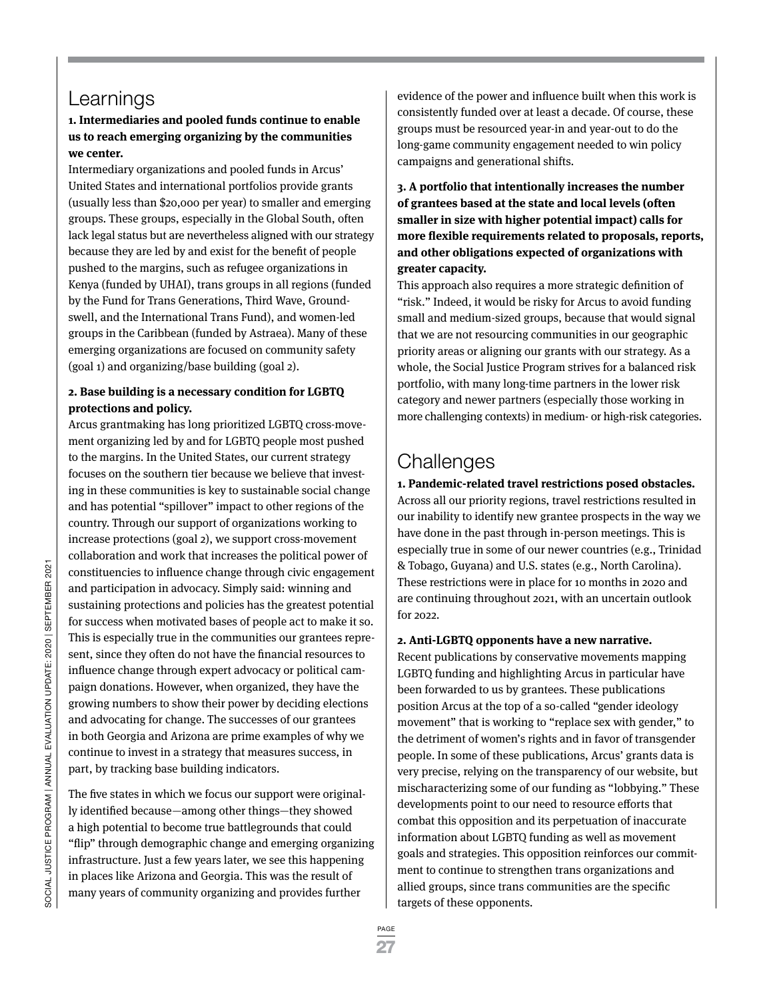### Learnings

#### **1. Intermediaries and pooled funds continue to enable us to reach emerging organizing by the communities we center.**

Intermediary organizations and pooled funds in Arcus' United States and international portfolios provide grants (usually less than \$20,000 per year) to smaller and emerging groups. These groups, especially in the Global South, often lack legal status but are nevertheless aligned with our strategy because they are led by and exist for the benefit of people pushed to the margins, such as refugee organizations in Kenya (funded by UHAI), trans groups in all regions (funded by the Fund for Trans Generations, Third Wave, Groundswell, and the International Trans Fund), and women-led groups in the Caribbean (funded by Astraea). Many of these emerging organizations are focused on community safety (goal 1) and organizing/base building (goal 2).

#### **2. Base building is a necessary condition for LGBTQ protections and policy.**

Arcus grantmaking has long prioritized LGBTQ cross-movement organizing led by and for LGBTQ people most pushed to the margins. In the United States, our current strategy focuses on the southern tier because we believe that investing in these communities is key to sustainable social change and has potential "spillover" impact to other regions of the country. Through our support of organizations working to increase protections (goal 2), we support cross-movement collaboration and work that increases the political power of constituencies to influence change through civic engagement and participation in advocacy. Simply said: winning and sustaining protections and policies has the greatest potential for success when motivated bases of people act to make it so. This is especially true in the communities our grantees represent, since they often do not have the financial resources to influence change through expert advocacy or political campaign donations. However, when organized, they have the growing numbers to show their power by deciding elections and advocating for change. The successes of our grantees in both Georgia and Arizona are prime examples of why we continue to invest in a strategy that measures success, in part, by tracking base building indicators.

The five states in which we focus our support were originally identified because—among other things—they showed a high potential to become true battlegrounds that could "flip" through demographic change and emerging organizing infrastructure. Just a few years later, we see this happening in places like Arizona and Georgia. This was the result of many years of community organizing and provides further

evidence of the power and influence built when this work is consistently funded over at least a decade. Of course, these groups must be resourced year-in and year-out to do the long-game community engagement needed to win policy campaigns and generational shifts.

**3. A portfolio that intentionally increases the number of grantees based at the state and local levels (often smaller in size with higher potential impact) calls for more flexible requirements related to proposals, reports, and other obligations expected of organizations with greater capacity.**

This approach also requires a more strategic definition of "risk." Indeed, it would be risky for Arcus to avoid funding small and medium-sized groups, because that would signal that we are not resourcing communities in our geographic priority areas or aligning our grants with our strategy. As a whole, the Social Justice Program strives for a balanced risk portfolio, with many long-time partners in the lower risk category and newer partners (especially those working in more challenging contexts) in medium- or high-risk categories.

### **Challenges**

**1. Pandemic-related travel restrictions posed obstacles.** Across all our priority regions, travel restrictions resulted in our inability to identify new grantee prospects in the way we have done in the past through in-person meetings. This is especially true in some of our newer countries (e.g., Trinidad & Tobago, Guyana) and U.S. states (e.g., North Carolina). These restrictions were in place for 10 months in 2020 and are continuing throughout 2021, with an uncertain outlook for 2022.

#### **2. Anti-LGBTQ opponents have a new narrative.**

Recent publications by conservative movements mapping LGBTQ funding and highlighting Arcus in particular have been forwarded to us by grantees. These publications position Arcus at the top of a so-called "gender ideology movement" that is working to "replace sex with gender," to the detriment of women's rights and in favor of transgender people. In some of these publications, Arcus' grants data is very precise, relying on the transparency of our website, but mischaracterizing some of our funding as "lobbying." These developments point to our need to resource efforts that combat this opposition and its perpetuation of inaccurate information about LGBTQ funding as well as movement goals and strategies. This opposition reinforces our commitment to continue to strengthen trans organizations and allied groups, since trans communities are the specific targets of these opponents.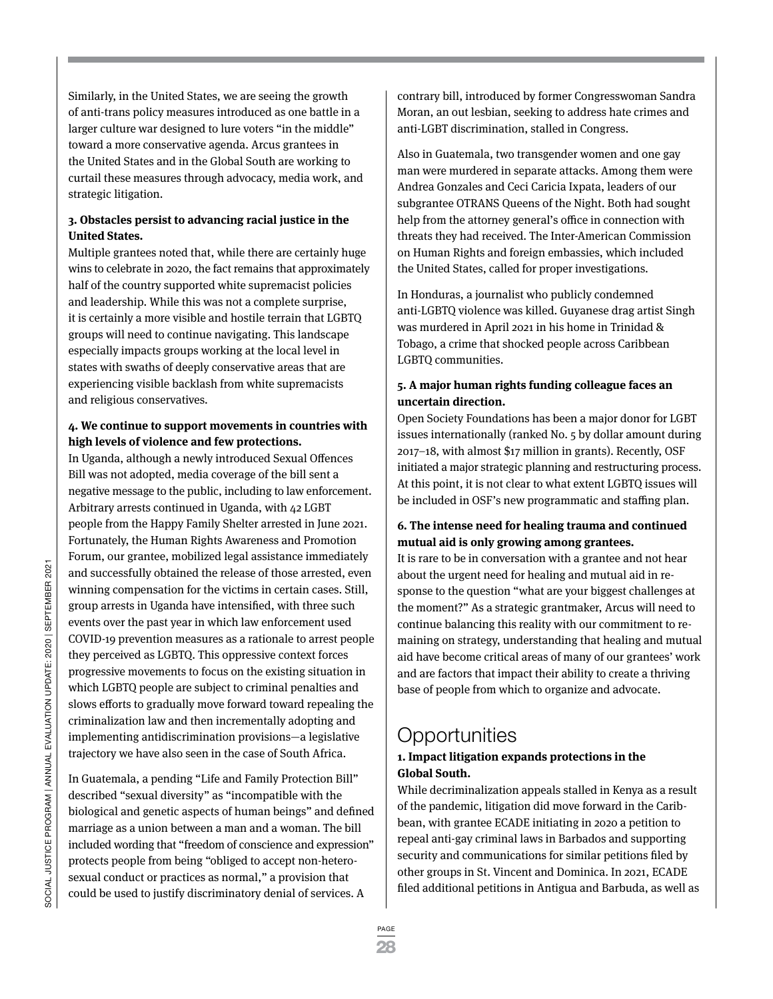Similarly, in the United States, we are seeing the growth of anti-trans policy measures introduced as one battle in a larger culture war designed to lure voters "in the middle" toward a more conservative agenda. Arcus grantees in the United States and in the Global South are working to curtail these measures through advocacy, media work, and strategic litigation.

#### **3. Obstacles persist to advancing racial justice in the United States.**

Multiple grantees noted that, while there are certainly huge wins to celebrate in 2020, the fact remains that approximately half of the country supported white supremacist policies and leadership. While this was not a complete surprise, it is certainly a more visible and hostile terrain that LGBTQ groups will need to continue navigating. This landscape especially impacts groups working at the local level in states with swaths of deeply conservative areas that are experiencing visible backlash from white supremacists and religious conservatives.

#### **4. We continue to support movements in countries with high levels of violence and few protections.**

In Uganda, although a newly introduced Sexual Offences Bill was not adopted, media coverage of the bill sent a negative message to the public, including to law enforcement. Arbitrary arrests continued in Uganda, with 42 LGBT people from the Happy Family Shelter arrested in June 2021. Fortunately, the Human Rights Awareness and Promotion Forum, our grantee, mobilized legal assistance immediately and successfully obtained the release of those arrested, even winning compensation for the victims in certain cases. Still, group arrests in Uganda have intensified, with three such events over the past year in which law enforcement used COVID-19 prevention measures as a rationale to arrest people they perceived as LGBTQ. This oppressive context forces progressive movements to focus on the existing situation in which LGBTQ people are subject to criminal penalties and slows efforts to gradually move forward toward repealing the criminalization law and then incrementally adopting and implementing antidiscrimination provisions—a legislative trajectory we have also seen in the case of South Africa.

In Guatemala, a pending "Life and Family Protection Bill" described "sexual diversity" as "incompatible with the biological and genetic aspects of human beings" and defined marriage as a union between a man and a woman. The bill included wording that "freedom of conscience and expression" protects people from being "obliged to accept non-heterosexual conduct or practices as normal," a provision that could be used to justify discriminatory denial of services. A

contrary bill, introduced by former Congresswoman Sandra Moran, an out lesbian, seeking to address hate crimes and anti-LGBT discrimination, stalled in Congress.

Also in Guatemala, two transgender women and one gay man were murdered in separate attacks. Among them were Andrea Gonzales and Ceci Caricia Ixpata, leaders of our subgrantee OTRANS Queens of the Night. Both had sought help from the attorney general's office in connection with threats they had received. The Inter-American Commission on Human Rights and foreign embassies, which included the United States, called for proper investigations.

In Honduras, a journalist who publicly condemned anti-LGBTQ violence was killed. Guyanese drag artist Singh was murdered in April 2021 in his home in Trinidad & Tobago, a crime that shocked people across Caribbean LGBTQ communities.

#### **5. A major human rights funding colleague faces an uncertain direction.**

Open Society Foundations has been a major donor for LGBT issues internationally (ranked No. 5 by dollar amount during 2017–18, with almost \$17 million in grants). Recently, OSF initiated a major strategic planning and restructuring process. At this point, it is not clear to what extent LGBTQ issues will be included in OSF's new programmatic and staffing plan.

#### **6. The intense need for healing trauma and continued mutual aid is only growing among grantees.**

It is rare to be in conversation with a grantee and not hear about the urgent need for healing and mutual aid in response to the question "what are your biggest challenges at the moment?" As a strategic grantmaker, Arcus will need to continue balancing this reality with our commitment to remaining on strategy, understanding that healing and mutual aid have become critical areas of many of our grantees' work and are factors that impact their ability to create a thriving base of people from which to organize and advocate.

### **Opportunities**

#### **1. Impact litigation expands protections in the Global South.**

While decriminalization appeals stalled in Kenya as a result of the pandemic, litigation did move forward in the Caribbean, with grantee ECADE initiating in 2020 a petition to repeal anti-gay criminal laws in Barbados and supporting security and communications for similar petitions filed by other groups in St. Vincent and Dominica. In 2021, ECADE filed additional petitions in Antigua and Barbuda, as well as